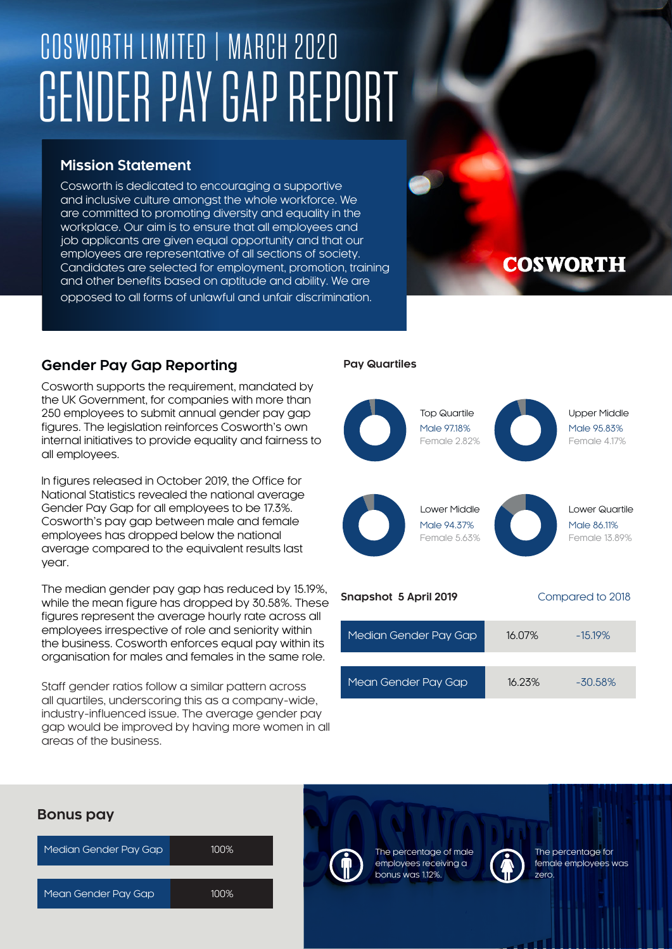# COSWORTH LIMITED | MARCH 2020 GENDER PAY GAP REPORT

#### **Mission Statement**

Cosworth is dedicated to encouraging a supportive and inclusive culture amongst the whole workforce. We are committed to promoting diversity and equality in the workplace. Our aim is to ensure that all employees and job applicants are given equal opportunity and that our employees are representative of all sections of society. Candidates are selected for employment, promotion, training and other benefits based on aptitude and ability. We are opposed to all forms of unlawful and unfair discrimination.

### **COSWORTH**

#### **Gender Pay Gap Reporting**

Cosworth supports the requirement, mandated by the UK Government, for companies with more than 250 employees to submit annual gender pay gap figures. The legislation reinforces Cosworth's own internal initiatives to provide equality and fairness to all employees.

In figures released in October 2019, the Office for National Statistics revealed the national average Gender Pay Gap for all employees to be 17.3%. Cosworth's pay gap between male and female employees has dropped below the national average compared to the equivalent results last year.

The median gender pay gap has reduced by 15.19%, while the mean figure has dropped by 30.58%. These figures represent the average hourly rate across all employees irrespective of role and seniority within the business. Cosworth enforces equal pay within its organisation for males and females in the same role.

Staff gender ratios follow a similar pattern across all quartiles, underscoring this as a company-wide, industry-influenced issue. The average gender pay gap would be improved by having more women in all areas of the business.

#### **Pay Quartiles**



| $11.98311010$ or $101112017$ |        | Compared to zolo |
|------------------------------|--------|------------------|
| Median Gender Pay Gap        | 16.07% | $-15.19\%$       |
|                              |        |                  |
| Mean Gender Pay Gap          | 16.23% | $-30.58%$        |

## Median Gender Pay Gap 100% Mean Gender Pay Gap 100% **Bonus pay**



Male 95.83% Female 4.17% Upper Middle

Male 86.11% Female 13.89%